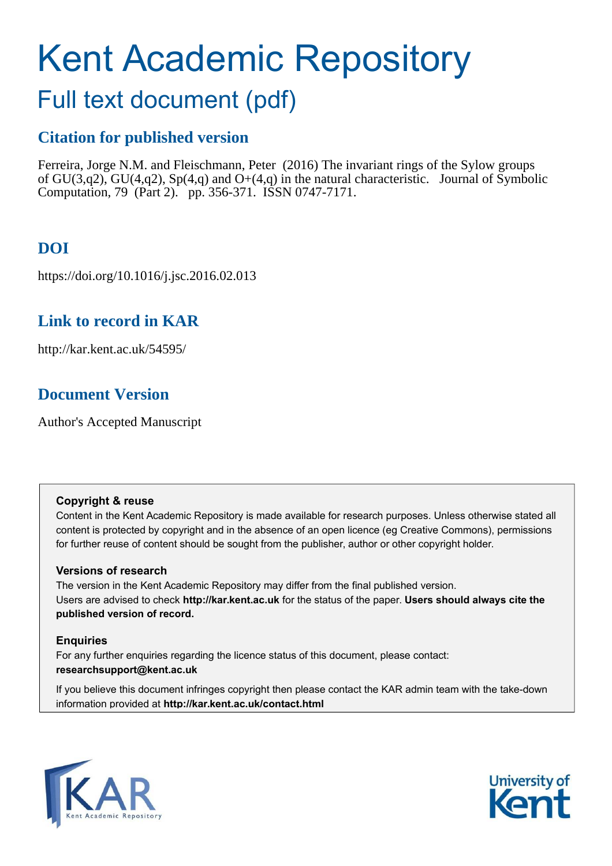# Kent Academic Repository

# Full text document (pdf)

# **Citation for published version**

Ferreira, Jorge N.M. and Fleischmann, Peter (2016) The invariant rings of the Sylow groups of GU(3,q2), GU(4,q2), Sp(4,q) and O+(4,q) in the natural characteristic. Journal of Symbolic Computation, 79 (Part 2). pp. 356-371. ISSN 0747-7171.

# **DOI**

https://doi.org/10.1016/j.jsc.2016.02.013

# **Link to record in KAR**

http://kar.kent.ac.uk/54595/

# **Document Version**

Author's Accepted Manuscript

## **Copyright & reuse**

Content in the Kent Academic Repository is made available for research purposes. Unless otherwise stated all content is protected by copyright and in the absence of an open licence (eg Creative Commons), permissions for further reuse of content should be sought from the publisher, author or other copyright holder.

## **Versions of research**

The version in the Kent Academic Repository may differ from the final published version. Users are advised to check **http://kar.kent.ac.uk** for the status of the paper. **Users should always cite the published version of record.**

## **Enquiries**

For any further enquiries regarding the licence status of this document, please contact: **researchsupport@kent.ac.uk**

If you believe this document infringes copyright then please contact the KAR admin team with the take-down information provided at **http://kar.kent.ac.uk/contact.html**



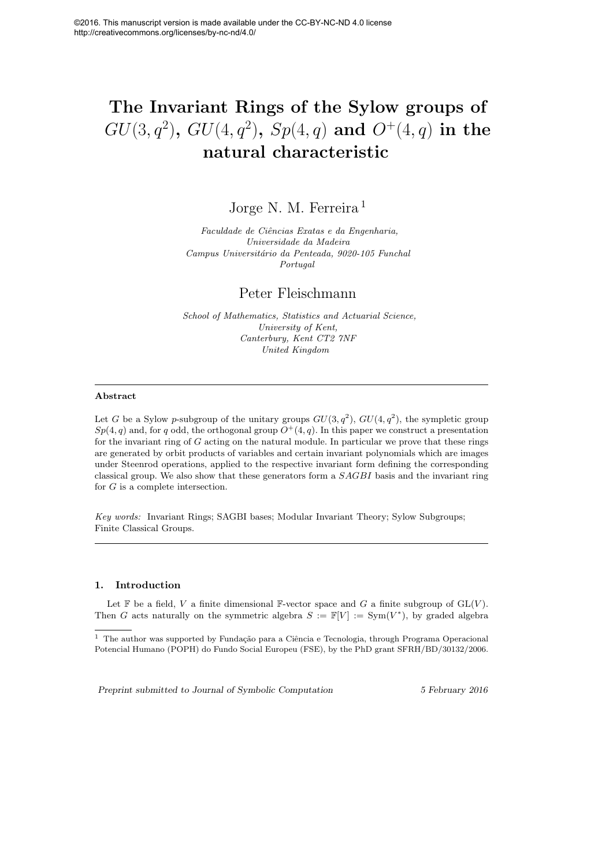# The Invariant Rings of the Sylow groups of  $GU(3,q^2),\ GU(4,q^2),\ Sp(4,q) \ {\bf and} \ O^+(4,q) \ {\bf in \ the}$ natural characteristic

Jorge N. M. Ferreira<sup>1</sup>

*Faculdade de Ciˆencias Exatas e da Engenharia, Universidade da Madeira Campus Universit´ario da Penteada, 9020-105 Funchal Portugal*

## Peter Fleischmann

*School of Mathematics, Statistics and Actuarial Science, University of Kent, Canterbury, Kent CT2 7NF United Kingdom*

#### Abstract

Let G be a Sylow p-subgroup of the unitary groups  $GU(3, q^2)$ ,  $GU(4, q^2)$ , the sympletic group  $Sp(4, q)$  and, for q odd, the orthogonal group  $O^+(4, q)$ . In this paper we construct a presentation for the invariant ring of G acting on the natural module. In particular we prove that these rings are generated by orbit products of variables and certain invariant polynomials which are images under Steenrod operations, applied to the respective invariant form defining the corresponding classical group. We also show that these generators form a SAGBI basis and the invariant ring for G is a complete intersection.

*Key words:* Invariant Rings; SAGBI bases; Modular Invariant Theory; Sylow Subgroups; Finite Classical Groups.

#### 1. Introduction

Let  $\mathbb F$  be a field, V a finite dimensional  $\mathbb F$ -vector space and G a finite subgroup of  $GL(V)$ . Then G acts naturally on the symmetric algebra  $S := \mathbb{F}[V] := \text{Sym}(V^*)$ , by graded algebra

Preprint submitted to Journal of Symbolic Computation 5 February 2016

 $1$  The author was supported by Fundação para a Ciência e Tecnologia, through Programa Operacional Potencial Humano (POPH) do Fundo Social Europeu (FSE), by the PhD grant SFRH/BD/30132/2006.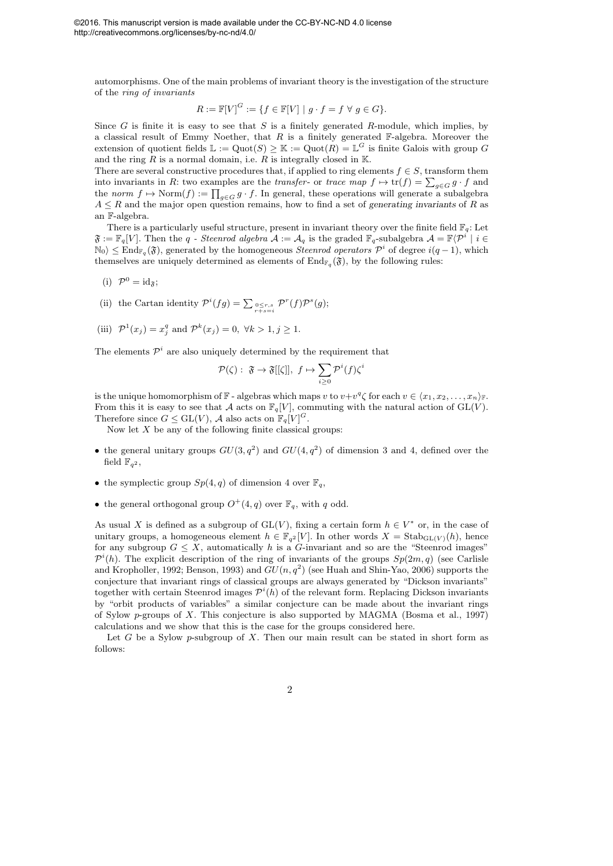automorphisms. One of the main problems of invariant theory is the investigation of the structure of the *ring of invariants*

$$
R := \mathbb{F}[V]^G := \{ f \in \mathbb{F}[V] \mid g \cdot f = f \ \forall \ g \in G \}.
$$

Since G is finite it is easy to see that S is a finitely generated R-module, which implies, by a classical result of Emmy Noether, that  $R$  is a finitely generated  $\mathbb{F}_{\text{-algebra}}$ . Moreover the extension of quotient fields  $\mathbb{L} := \mathrm{Quot}(S) \geq \mathbb{K} := \mathrm{Quot}(R) = \mathbb{L}^G$  is finite Galois with group G and the ring  $R$  is a normal domain, i.e.  $R$  is integrally closed in  $K$ .

There are several constructive procedures that, if applied to ring elements  $f \in S$ , transform them into invariants in R: two examples are the *transfer*- or *trace map*  $f \mapsto \text{tr}(f) = \sum_{g \in G} g \cdot f$  and the *norm*  $f \mapsto \text{Norm}(f) := \prod_{g \in G} g \cdot f$ . In general, these operations will generate a subalgebra  $A \leq R$  and the major open question remains, how to find a set of generating invariants of R as an F-algebra.

There is a particularly useful structure, present in invariant theory over the finite field  $\mathbb{F}_q$ : Let  $\mathfrak{F} := \mathbb{F}_q[V]$ . Then the q *- Steenrod algebra*  $\mathcal{A} := \mathcal{A}_q$  is the graded  $\mathbb{F}_q$ -subalgebra  $\mathcal{A} = \mathbb{F}\langle \mathcal{P}^i \mid i \in \mathbb{Z}$  $\mathbb{N}_0$ )  $\leq$  End<sub>Fq</sub>( $\mathfrak{F}$ ), generated by the homogeneous *Steenrod operators*  $\mathcal{P}^i$  of degree  $i(q-1)$ , which themselves are uniquely determined as elements of  $\text{End}_{\mathbb{F}_q}(\mathfrak{F})$ , by the following rules:

- (i)  $\mathcal{P}^0 = \mathrm{id}_{\mathfrak{F}};$
- (ii) the Cartan identity  $\mathcal{P}^i(fg) = \sum_{\substack{0 \le r,s \\ r+s=i}} \mathcal{P}^r(f) \mathcal{P}^s(g);$
- (iii)  $\mathcal{P}^1(x_j) = x_j^q$  and  $\mathcal{P}^k(x_j) = 0, \forall k > 1, j \ge 1.$

The elements  $\mathcal{P}^i$  are also uniquely determined by the requirement that

$$
\mathcal{P}(\zeta): \ \mathfrak{F} \to \mathfrak{F}[[\zeta]], \ f \mapsto \sum_{i \geq 0} \mathcal{P}^i(f)\zeta^i
$$

is the unique homomorphism of  $\mathbb{F}$  - algebras which maps v to  $v+v^q\zeta$  for each  $v\in \langle x_1, x_2, \ldots, x_n \rangle_{\mathbb{F}}$ . From this it is easy to see that A acts on  $\mathbb{F}_q[V]$ , commuting with the natural action of  $GL(V)$ . Therefore since  $G \leq GL(V)$ , A also acts on  $\mathbb{F}_q[V]^G$ .

Now let  $X$  be any of the following finite classical groups:

- the general unitary groups  $GU(3, q^2)$  and  $GU(4, q^2)$  of dimension 3 and 4, defined over the field  $\mathbb{F}_{q^2}$ ,
- the symplectic group  $Sp(4,q)$  of dimension 4 over  $\mathbb{F}_q$ ,
- the general orthogonal group  $O^+(4,q)$  over  $\mathbb{F}_q$ , with q odd.

As usual X is defined as a subgroup of  $GL(V)$ , fixing a certain form  $h \in V^*$  or, in the case of unitary groups, a homogeneous element  $h \in \mathbb{F}_{q^2}[V]$ . In other words  $X = \text{Stab}_{\text{GL}(V)}(h)$ , hence for any subgroup  $G \leq X$ , automatically h is a G-invariant and so are the "Steenrod images"  $\mathcal{P}^i(h)$ . The explicit description of the ring of invariants of the groups  $Sp(2m, q)$  (see Carlisle and Kropholler, 1992; Benson, 1993) and  $GU(n,q^2)$  (see Huah and Shin-Yao, 2006) supports the conjecture that invariant rings of classical groups are always generated by "Dickson invariants" together with certain Steenrod images  $\mathcal{P}^{i}(h)$  of the relevant form. Replacing Dickson invariants by "orbit products of variables" a similar conjecture can be made about the invariant rings of Sylow p-groups of X. This conjecture is also supported by MAGMA (Bosma et al., 1997) calculations and we show that this is the case for the groups considered here.

Let G be a Sylow p-subgroup of X. Then our main result can be stated in short form as follows: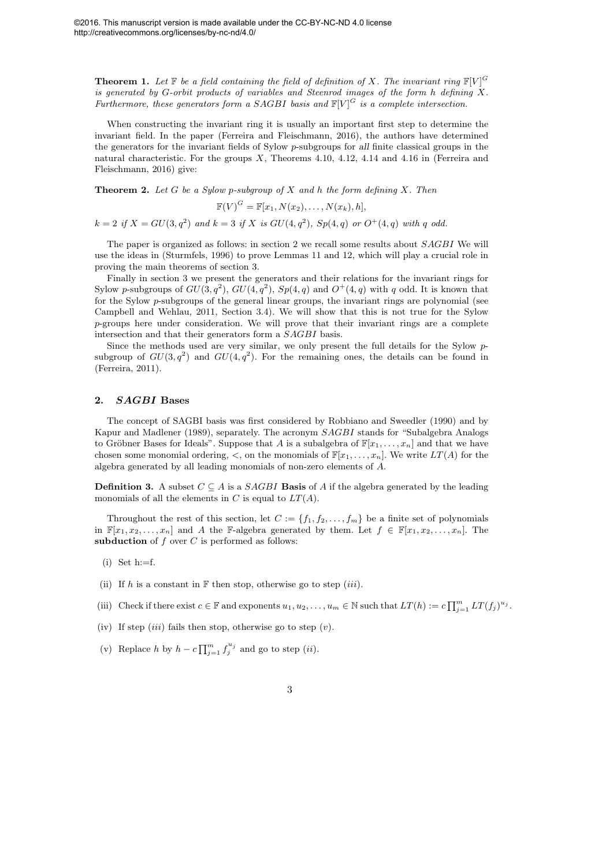**Theorem 1.** Let  $\mathbb{F}$  be a field containing the field of definition of X. The invariant ring  $\mathbb{F}[V]^G$ *is generated by* G*-orbit products of variables and Steenrod images of the form* h *defining* X*. Furthermore, these generators form a SAGBI basis and*  $\mathbb{F}[V]^G$  *is a complete intersection.* 

When constructing the invariant ring it is usually an important first step to determine the invariant field. In the paper (Ferreira and Fleischmann, 2016), the authors have determined the generators for the invariant fields of Sylow p-subgroups for all finite classical groups in the natural characteristic. For the groups X, Theorems 4.10, 4.12, 4.14 and 4.16 in (Ferreira and Fleischmann, 2016) give:

Theorem 2. *Let* G *be a Sylow* p*-subgroup of* X *and* h *the form defining* X*. Then*

$$
\mathbb{F}(V)^G = \mathbb{F}[x_1, N(x_2), \ldots, N(x_k), h],
$$

 $k = 2$  if  $X = GU(3, q^2)$  and  $k = 3$  if X is  $GU(4, q^2)$ ,  $Sp(4, q)$  or  $O^+(4, q)$  with q odd.

The paper is organized as follows: in section 2 we recall some results about SAGBI We will use the ideas in (Sturmfels, 1996) to prove Lemmas 11 and 12, which will play a crucial role in proving the main theorems of section 3.

Finally in section 3 we present the generators and their relations for the invariant rings for Sylow p-subgroups of  $GU(3, q^2)$ ,  $GU(4, q^2)$ ,  $Sp(4, q)$  and  $O^+(4, q)$  with q odd. It is known that for the Sylow p-subgroups of the general linear groups, the invariant rings are polynomial (see Campbell and Wehlau, 2011, Section 3.4). We will show that this is not true for the Sylow p-groups here under consideration. We will prove that their invariant rings are a complete intersection and that their generators form a SAGBI basis.

Since the methods used are very similar, we only present the full details for the Sylow psubgroup of  $GU(3,q^2)$  and  $GU(4,q^2)$ . For the remaining ones, the details can be found in (Ferreira, 2011).

#### 2. SAGBI Bases

The concept of SAGBI basis was first considered by Robbiano and Sweedler (1990) and by Kapur and Madlener (1989), separately. The acronym SAGBI stands for "Subalgebra Analogs to Gröbner Bases for Ideals". Suppose that A is a subalgebra of  $\mathbb{F}[x_1, \ldots, x_n]$  and that we have chosen some monomial ordering,  $\lt$ , on the monomials of  $\mathbb{F}[x_1, \ldots, x_n]$ . We write  $LT(A)$  for the algebra generated by all leading monomials of non-zero elements of A.

**Definition 3.** A subset  $C \subseteq A$  is a *SAGBI* **Basis** of A if the algebra generated by the leading monomials of all the elements in C is equal to  $LT(A)$ .

Throughout the rest of this section, let  $C := \{f_1, f_2, \ldots, f_m\}$  be a finite set of polynomials in  $\mathbb{F}[x_1, x_2, \ldots, x_n]$  and A the F-algebra generated by them. Let  $f \in \mathbb{F}[x_1, x_2, \ldots, x_n]$ . The subduction of  $f$  over  $C$  is performed as follows:

- $(i)$  Set h:=f.
- (ii) If h is a constant in  $\mathbb F$  then stop, otherwise go to step *(iii)*.
- (iii) Check if there exist  $c \in \mathbb{F}$  and exponents  $u_1, u_2, \ldots, u_m \in \mathbb{N}$  such that  $LT(h) := c \prod_{j=1}^m LT(f_j)^{u_j}$ .
- (iv) If step  $(iii)$  fails then stop, otherwise go to step  $(v)$ .
- (v) Replace h by  $h c \prod_{j=1}^{m} f_j^{u_j}$  and go to step  $(ii)$ .
	- 3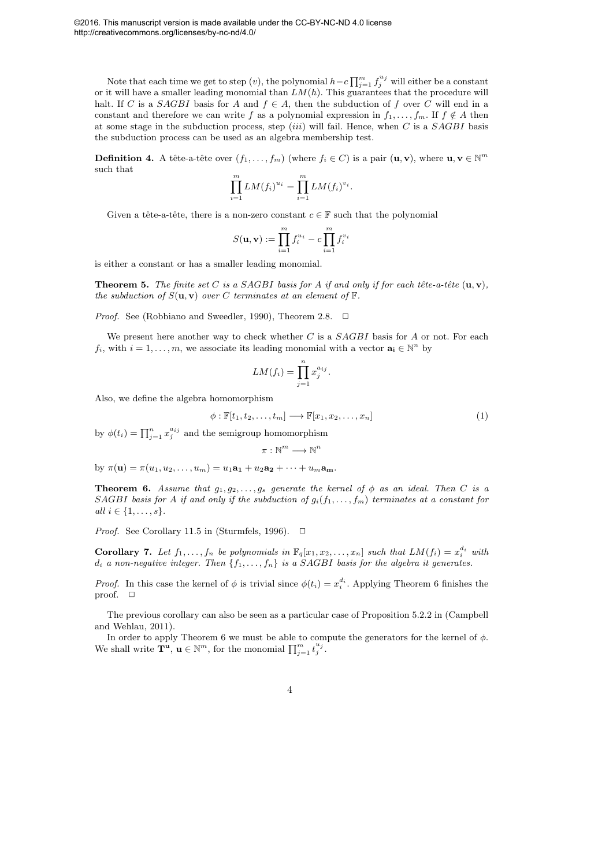Note that each time we get to step  $(v)$ , the polynomial  $h-c\prod_{j=1}^m f_j^{u_j}$  will either be a constant or it will have a smaller leading monomial than  $LM(h)$ . This guarantees that the procedure will halt. If C is a SAGBI basis for A and  $f \in A$ , then the subduction of f over C will end in a constant and therefore we can write f as a polynomial expression in  $f_1, \ldots, f_m$ . If  $f \notin A$  then at some stage in the subduction process, step *(iii)* will fail. Hence, when C is a  $SAGBI$  basis the subduction process can be used as an algebra membership test.

**Definition 4.** A tête-a-tête over  $(f_1, \ldots, f_m)$  (where  $f_i \in C$ ) is a pair  $(\mathbf{u}, \mathbf{v})$ , where  $\mathbf{u}, \mathbf{v} \in \mathbb{N}^m$ such that

$$
\prod_{i=1}^{m} LM(f_i)^{u_i} = \prod_{i=1}^{m} LM(f_i)^{v_i}.
$$

Given a tête-a-tête, there is a non-zero constant  $c \in \mathbb{F}$  such that the polynomial

$$
S(\mathbf{u}, \mathbf{v}) := \prod_{i=1}^{m} f_i^{u_i} - c \prod_{i=1}^{m} f_i^{v_i}
$$

is either a constant or has a smaller leading monomial.

**Theorem 5.** *The finite set* C *is a SAGBI basis for* A *if and only if for each tête-a-tête*  $(\mathbf{u}, \mathbf{v})$ *, the subduction of*  $S(\mathbf{u}, \mathbf{v})$  *over* C *terminates at an element of*  $\mathbb{F}$ *.* 

*Proof.* See (Robbiano and Sweedler, 1990), Theorem 2.8.  $\Box$ 

We present here another way to check whether  $C$  is a  $SAGBI$  basis for  $A$  or not. For each  $f_i$ , with  $i = 1, ..., m$ , we associate its leading monomial with a vector  $\mathbf{a_i} \in \mathbb{N}^n$  by

$$
LM(f_i) = \prod_{j=1}^n x_j^{a_{ij}}.
$$

Also, we define the algebra homomorphism

$$
\phi: \mathbb{F}[t_1, t_2, \dots, t_m] \longrightarrow \mathbb{F}[x_1, x_2, \dots, x_n]
$$
\n
$$
(1)
$$

by  $\phi(t_i) = \prod_{j=1}^n x_j^{a_{ij}}$  and the semigroup homomorphism

$$
\pi:\mathbb{N}^m\longrightarrow\mathbb{N}^n
$$

by  $\pi(\mathbf{u}) = \pi(u_1, u_2, \dots, u_m) = u_1 \mathbf{a_1} + u_2 \mathbf{a_2} + \dots + u_m \mathbf{a_m}$ .

**Theorem 6.** Assume that  $g_1, g_2, \ldots, g_s$  generate the kernel of  $\phi$  as an ideal. Then C is a SAGBI basis for A *if and only if the subduction of*  $g_i(f_1, \ldots, f_m)$  *terminates at a constant for all*  $i \in \{1, \ldots, s\}$ *.* 

*Proof.* See Corollary 11.5 in (Sturmfels, 1996).  $\Box$ 

Corollary 7. Let  $f_1, \ldots, f_n$  be polynomials in  $\mathbb{F}_q[x_1, x_2, \ldots, x_n]$  such that  $LM(f_i) = x_i^{d_i}$  with  $d_i$  a non-negative integer. Then  $\{f_1, \ldots, f_n\}$  is a SAGBI basis for the algebra it generates.

*Proof.* In this case the kernel of  $\phi$  is trivial since  $\phi(t_i) = x_i^{d_i}$ . Applying Theorem 6 finishes the proof.  $\square$ 

The previous corollary can also be seen as a particular case of Proposition 5.2.2 in (Campbell and Wehlau, 2011).

In order to apply Theorem 6 we must be able to compute the generators for the kernel of  $\phi$ . We shall write  $\mathbf{T}^{\mathbf{u}}, \mathbf{u} \in \mathbb{N}^m$ , for the monomial  $\prod_{j=1}^m t_j^{u_j}$ .

$$
^{4}
$$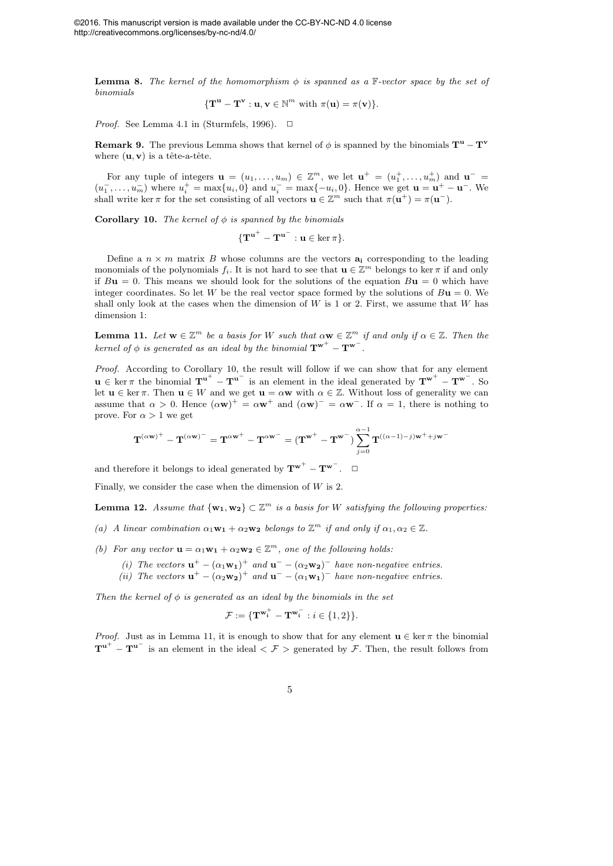**Lemma 8.** The kernel of the homomorphism  $\phi$  is spanned as a  $\mathbb{F}\text{-vector space}$  by the set of *binomials*

$$
\{\mathbf T}^{\mathbf u}-\mathbf T^{\mathbf v}:\mathbf u,\mathbf v\in\mathbb N^m\text{ with }\pi(\mathbf u)=\pi(\mathbf v)\}.
$$

*Proof.* See Lemma 4.1 in (Sturmfels, 1996).  $\Box$ 

**Remark 9.** The previous Lemma shows that kernel of  $\phi$  is spanned by the binomials  $\mathbf{T}^{\mathbf{u}} - \mathbf{T}^{\mathbf{v}}$ where  $(\mathbf{u}, \mathbf{v})$  is a tête-a-tête.

For any tuple of integers  $\mathbf{u} = (u_1, \ldots, u_m) \in \mathbb{Z}^m$ , we let  $\mathbf{u}^+ = (u_1^+, \ldots, u_m^+)$  and  $\mathbf{u}^ (u_1^-, \ldots, u_m^-)$  where  $u_i^+ = \max\{u_i, 0\}$  and  $u_i^- = \max\{-u_i, 0\}$ . Hence we get  $\mathbf{u} = \mathbf{u}^+ - \mathbf{u}^-$ . We shall write ker  $\pi$  for the set consisting of all vectors  $\mathbf{u} \in \mathbb{Z}^m$  such that  $\pi(\mathbf{u}^+) = \pi(\mathbf{u}^-)$ .

**Corollary 10.** *The kernel of*  $\phi$  *is spanned by the binomials* 

$$
\{{\mathbf T}^{{\mathbf u}^+} - {\mathbf T}^{{\mathbf u}^-} : {\mathbf u} \in \ker \pi\}.
$$

Define a  $n \times m$  matrix B whose columns are the vectors  $a_i$  corresponding to the leading monomials of the polynomials  $f_i$ . It is not hard to see that  $\mathbf{u} \in \mathbb{Z}^m$  belongs to ker  $\pi$  if and only if  $B\mathbf{u} = 0$ . This means we should look for the solutions of the equation  $B\mathbf{u} = 0$  which have integer coordinates. So let W be the real vector space formed by the solutions of  $B\mathbf{u} = 0$ . We shall only look at the cases when the dimension of  $W$  is 1 or 2. First, we assume that  $W$  has dimension 1:

**Lemma 11.** Let  $w \in \mathbb{Z}^m$  be a basis for W such that  $\alpha w \in \mathbb{Z}^m$  if and only if  $\alpha \in \mathbb{Z}$ . Then the *kernel of*  $\phi$  *is generated as an ideal by the binomial*  $\mathbf{T}^{\mathbf{w}^+} - \mathbf{T}^{\mathbf{w}^-}$ .

*Proof.* According to Corollary 10, the result will follow if we can show that for any element  $u \in \ker \pi$  the binomial  $T^{u^+} - T^{u^-}$  is an element in the ideal generated by  $T^{w^+} - T^{w^-}$ . So let  $\mathbf{u} \in \text{ker } \pi$ . Then  $\mathbf{u} \in W$  and we get  $\mathbf{u} = \alpha \mathbf{w}$  with  $\alpha \in \mathbb{Z}$ . Without loss of generality we can assume that  $\alpha > 0$ . Hence  $(\alpha \mathbf{w})^+ = \alpha \mathbf{w}^+$  and  $(\alpha \mathbf{w})^- = \alpha \mathbf{w}^-$ . If  $\alpha = 1$ , there is nothing to prove. For  $\alpha > 1$  we get

$$
{\bf T}^{(\alpha{\bf w})^+}-{\bf T}^{(\alpha{\bf w})^-}={\bf T}^{\alpha{\bf w}^+}-{\bf T}^{\alpha{\bf w}^-}=( {\bf T}^{{\bf w}^+}-{\bf T}^{{\bf w}^-})\sum_{j=0}^{\alpha-1}{\bf T}^{((\alpha-1)-j){\bf w}^++j{\bf w}^-}
$$

and therefore it belongs to ideal generated by  $T^{w^+} - T^{w^-}$ .  $\Box$ 

Finally, we consider the case when the dimension of  $W$  is 2.

**Lemma 12.** Assume that  $\{w_1, w_2\} \subset \mathbb{Z}^m$  is a basis for W satisfying the following properties:

- (a) A linear combination  $\alpha_1 \mathbf{w_1} + \alpha_2 \mathbf{w_2}$  belongs to  $\mathbb{Z}^m$  if and only if  $\alpha_1, \alpha_2 \in \mathbb{Z}$ .
- (b) For any vector  $\mathbf{u} = \alpha_1 \mathbf{w_1} + \alpha_2 \mathbf{w_2} \in \mathbb{Z}^m$ , one of the following holds:
	- (*i*) The vectors  $\mathbf{u}^+ (\alpha_1 \mathbf{w_1})^+$  and  $\mathbf{u}^- (\alpha_2 \mathbf{w_2})^-$  have non-negative entries.
	- (*ii*) The vectors  $\mathbf{u}^+ (\alpha_2 \mathbf{w_2})^+$  and  $\mathbf{u}^- (\alpha_1 \mathbf{w_1})^-$  have non-negative entries.

*Then the kernel of*  $\phi$  *is generated as an ideal by the binomials in the set* 

$$
\mathcal{F} := \{ \mathbf{T}^{\mathbf{w}_i^+} - \mathbf{T}^{\mathbf{w}_i^-} : i \in \{1, 2\} \}.
$$

*Proof.* Just as in Lemma 11, it is enough to show that for any element  $\mathbf{u} \in \ker \pi$  the binomial  $T^{u^+} - T^{u^-}$  is an element in the ideal  $\langle \mathcal{F} \rangle$  generated by  $\mathcal{F}$ . Then, the result follows from

$$
\overline{5}
$$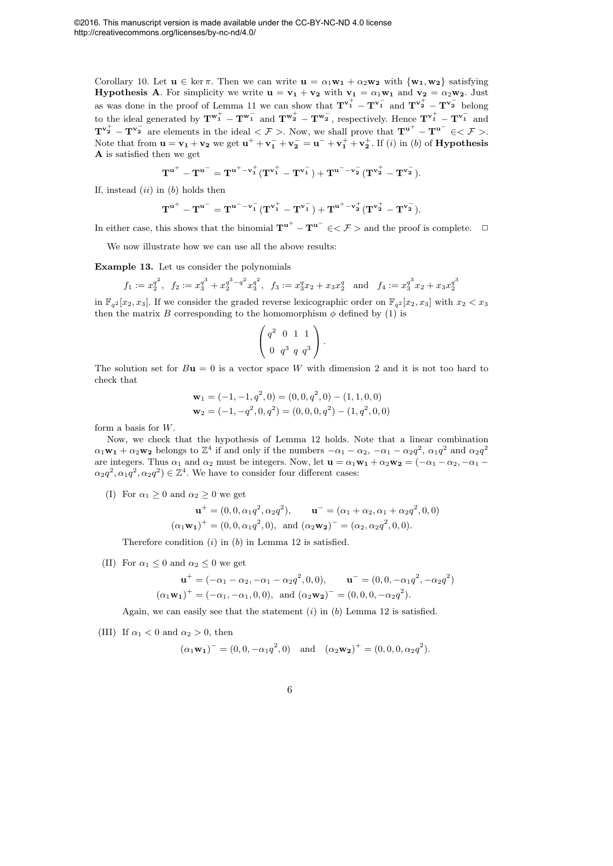Corollary 10. Let  $\mathbf{u} \in \ker \pi$ . Then we can write  $\mathbf{u} = \alpha_1 \mathbf{w}_1 + \alpha_2 \mathbf{w}_2$  with  $\{\mathbf{w}_1, \mathbf{w}_2\}$  satisfying **Hypothesis A.** For simplicity we write  $\mathbf{u} = \mathbf{v}_1 + \mathbf{v}_2$  with  $\mathbf{v}_1 = \alpha_1 \mathbf{w}_1$  and  $\mathbf{v}_2 = \alpha_2 \mathbf{w}_2$ . Just as was done in the proof of Lemma 11 we can show that  $T^{v_1^+} - T^{v_1^-}$  and  $T^{v_2^+} - T^{v_2^-}$  belong to the ideal generated by  $T^{w_1^+} - T^{w_1^-}$  and  $T^{w_2^+} - T^{w_2^-}$ , respectively. Hence  $T^{v_1^+} - T^{v_1^-}$  and  $T^{v_2^+} - T^{v_2^-}$  are elements in the ideal  $\langle \mathcal{F} \rangle$ . Now, we shall prove that  $T^{u^+} - T^{u^-} \in \langle \mathcal{F} \rangle$ . Note that from  $\mathbf{u} = \mathbf{v_1} + \mathbf{v_2}$  we get  $\mathbf{u}^+ + \mathbf{v_1}^- + \mathbf{v_2}^- = \mathbf{u}^- + \mathbf{v_1}^+ + \mathbf{v_2}^+$ . If (*i*) in (*b*) of **Hypothesis** A is satisfied then we get

$$
T^{u^+} - T^{u^-} = T^{u^+-v_1^+}(T^{v_1^+} - T^{v_1^-}) + T^{u^--v_2^-}(T^{v_2^+} - T^{v_2^-}).
$$

If, instead  $(ii)$  in  $(b)$  holds then

$$
T^{u^+}-T^{u^-}=T^{u^--v_1^-}(T^{v_1^+}-T^{v_1^-})+T^{u^+-v_2^+}(T^{v_2^+}-T^{v_2^-}).
$$

In either case, this shows that the binomial  $T^{u^+} - T^{u^-} \in \leq \mathcal{F} >$  and the proof is complete.  $\Box$ 

We now illustrate how we can use all the above results:

Example 13. Let us consider the polynomials

$$
f_1 := x_2^{q^2}, \quad f_2 := x_3^{q^3} + x_2^{q^3 - q^2} x_3^{q^2}, \quad f_3 := x_3^q x_2 + x_3 x_2^q \quad \text{and} \quad f_4 := x_3^{q^3} x_2 + x_3 x_2^{q^3}
$$

in  $\mathbb{F}_{q^2}[x_2, x_3]$ . If we consider the graded reverse lexicographic order on  $\mathbb{F}_{q^2}[x_2, x_3]$  with  $x_2 < x_3$ then the matrix B corresponding to the homomorphism  $\phi$  defined by (1) is

$$
\left(\begin{array}{rrr} q^2 & 0 & 1 & 1 \\ 0 & q^3 & q & q^3 \end{array}\right).
$$

The solution set for  $B\mathbf{u} = 0$  is a vector space W with dimension 2 and it is not too hard to check that

$$
\mathbf{w}_1 = (-1, -1, q^2, 0) = (0, 0, q^2, 0) - (1, 1, 0, 0)
$$
  

$$
\mathbf{w}_2 = (-1, -q^2, 0, q^2) = (0, 0, 0, q^2) - (1, q^2, 0, 0)
$$

form a basis for W.

Now, we check that the hypothesis of Lemma 12 holds. Note that a linear combination  $\alpha_1 \mathbf{w_1} + \alpha_2 \mathbf{w_2}$  belongs to  $\mathbb{Z}^4$  if and only if the numbers  $-\alpha_1 - \alpha_2$ ,  $-\alpha_1 - \alpha_2 q^2$ ,  $\alpha_1 q^2$  and  $\alpha_2 q^2$ are integers. Thus  $\alpha_1$  and  $\alpha_2$  must be integers. Now, let  $\mathbf{u} = \alpha_1 \mathbf{w_1} + \alpha_2 \mathbf{w_2} = (-\alpha_1 - \alpha_2, -\alpha_1 - \alpha_2)$  $\alpha_2 q^2, \alpha_1 q^2, \alpha_2 q^2) \in \mathbb{Z}^4$ . We have to consider four different cases:

(I) For  $\alpha_1 \geq 0$  and  $\alpha_2 \geq 0$  we get

$$
\mathbf{u}^+ = (0, 0, \alpha_1 q^2, \alpha_2 q^2), \qquad \mathbf{u}^- = (\alpha_1 + \alpha_2, \alpha_1 + \alpha_2 q^2, 0, 0)
$$

$$
(\alpha_1 \mathbf{w}_1)^+ = (0, 0, \alpha_1 q^2, 0), \text{ and } (\alpha_2 \mathbf{w}_2)^- = (\alpha_2, \alpha_2 q^2, 0, 0).
$$

Therefore condition  $(i)$  in  $(b)$  in Lemma 12 is satisfied.

(II) For  $\alpha_1 \leq 0$  and  $\alpha_2 \leq 0$  we get

$$
\mathbf{u}^+ = (-\alpha_1 - \alpha_2, -\alpha_1 - \alpha_2 q^2, 0, 0), \qquad \mathbf{u}^- = (0, 0, -\alpha_1 q^2, -\alpha_2 q^2)
$$

$$
(\alpha_1 \mathbf{w_1})^+ = (-\alpha_1, -\alpha_1, 0, 0), \text{ and } (\alpha_2 \mathbf{w_2})^- = (0, 0, 0, -\alpha_2 q^2).
$$

Again, we can easily see that the statement  $(i)$  in  $(b)$  Lemma 12 is satisfied.

(III) If  $\alpha_1 < 0$  and  $\alpha_2 > 0$ , then

$$
(\alpha_1 \mathbf{w_1})^{\dagger} = (0, 0, -\alpha_1 q^2, 0)
$$
 and  $(\alpha_2 \mathbf{w_2})^{\dagger} = (0, 0, 0, \alpha_2 q^2).$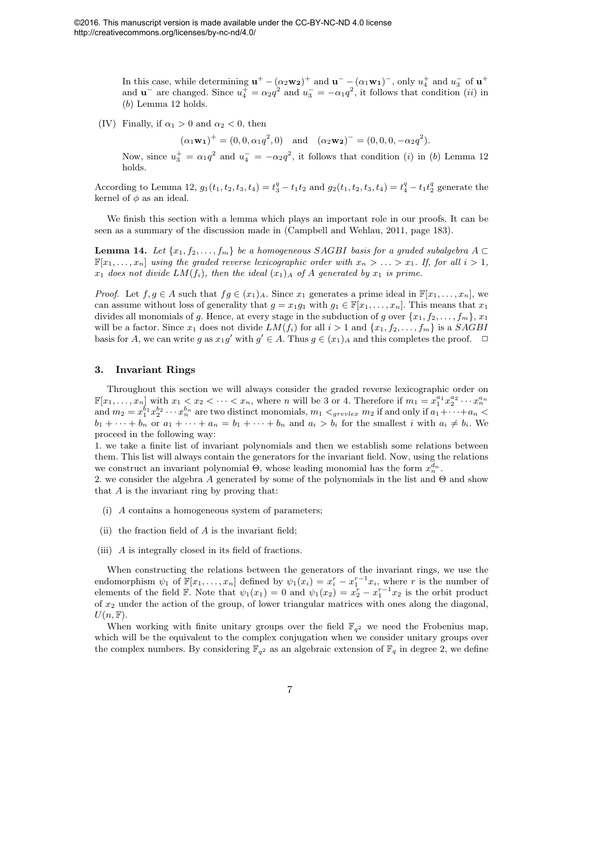In this case, while determining  $\mathbf{u}^+ - (\alpha_2 \mathbf{w_2})^+$  and  $\mathbf{u}^- - (\alpha_1 \mathbf{w_1})^-$ , only  $u_4^+$  and  $u_3^-$  of  $\mathbf{u}^+$ and  $\mathbf{u}^-$  are changed. Since  $u_4^+ = \alpha_2 q^2$  and  $u_3^- = -\alpha_1 q^2$ , it follows that condition (*ii*) in (b) Lemma 12 holds.

(IV) Finally, if  $\alpha_1 > 0$  and  $\alpha_2 < 0$ , then

 $(\alpha_1 \mathbf{w_1})^+ = (0, 0, \alpha_1 q^2, 0)$  and  $(\alpha_2 \mathbf{w_2})^- = (0, 0, 0, -\alpha_2 q^2).$ 

Now, since  $u_3^+ = \alpha_1 q^2$  and  $u_4^- = -\alpha_2 q^2$ , it follows that condition (i) in (b) Lemma 12 holds.

According to Lemma 12,  $g_1(t_1, t_2, t_3, t_4) = t_3^q - t_1 t_2$  and  $g_2(t_1, t_2, t_3, t_4) = t_4^q - t_1 t_2^q$  generate the kernel of  $\phi$  as an ideal.

We finish this section with a lemma which plays an important role in our proofs. It can be seen as a summary of the discussion made in (Campbell and Wehlau, 2011, page 183).

**Lemma 14.** *Let*  $\{x_1, f_2, \ldots, f_m\}$  *be a homogeneous SAGBI basis for a graded subalgebra* A ⊂  $\mathbb{F}[x_1, \ldots, x_n]$  *using the graded reverse lexicographic order with*  $x_n > \ldots > x_1$ . If, for all  $i > 1$ ,  $x_1$  does not divide  $LM(f_i)$ , then the ideal  $(x_1)_A$  of A generated by  $x_1$  is prime.

*Proof.* Let  $f, g \in A$  such that  $fg \in (x_1)_A$ . Since  $x_1$  generates a prime ideal in  $\mathbb{F}[x_1, \ldots, x_n]$ , we can assume without loss of generality that  $g = x_1g_1$  with  $g_1 \in \mathbb{F}[x_1, \ldots, x_n]$ . This means that  $x_1$ divides all monomials of g. Hence, at every stage in the subduction of g over  $\{x_1, f_2, \ldots, f_m\}$ ,  $x_1$ will be a factor. Since  $x_1$  does not divide  $LM(f_i)$  for all  $i > 1$  and  $\{x_1, f_2, \ldots, f_m\}$  is a  $SAGBI$ basis for A, we can write g as  $x_1g'$  with  $g' \in A$ . Thus  $g \in (x_1)_A$  and this completes the proof.  $\Box$ 

#### 3. Invariant Rings

Throughout this section we will always consider the graded reverse lexicographic order on  $\mathbb{F}[x_1,\ldots,x_n]$  with  $x_1 < x_2 < \cdots < x_n$ , where n will be 3 or 4. Therefore if  $m_1 = x_1^{a_1}x_2^{a_2}\cdots x_n^{a_n}$ and  $m_2 = x_1^{b_1} x_2^{b_2} \cdots x_n^{b_n}$  are two distinct monomials,  $m_1 <_{grevlex} m_2$  if and only if  $a_1 + \cdots + a_n <$  $b_1 + \cdots + b_n$  or  $a_1 + \cdots + a_n = b_1 + \cdots + b_n$  and  $a_i > b_i$  for the smallest i with  $a_i \neq b_i$ . We proceed in the following way:

1. we take a finite list of invariant polynomials and then we establish some relations between them. This list will always contain the generators for the invariant field. Now, using the relations we construct an invariant polynomial  $\Theta$ , whose leading monomial has the form  $x_n^{d_n}$ .

2. we consider the algebra A generated by some of the polynomials in the list and  $\Theta$  and show that  $A$  is the invariant ring by proving that:

- (i) A contains a homogeneous system of parameters;
- (ii) the fraction field of  $A$  is the invariant field;
- (iii) A is integrally closed in its field of fractions.

When constructing the relations between the generators of the invariant rings, we use the endomorphism  $\psi_1$  of  $\mathbb{F}[x_1,\ldots,x_n]$  defined by  $\psi_1(x_i)=x_i^r-x_1^{r-1}x_i$ , where r is the number of elements of the field F. Note that  $\psi_1(x_1) = 0$  and  $\psi_1(x_2) = x_2^r - x_1^{r-1}x_2$  is the orbit product of  $x_2$  under the action of the group, of lower triangular matrices with ones along the diagonal,  $U(n, \mathbb{F}).$ 

When working with finite unitary groups over the field  $\mathbb{F}_{q^2}$  we need the Frobenius map, which will be the equivalent to the complex conjugation when we consider unitary groups over the complex numbers. By considering  $\mathbb{F}_{q^2}$  as an algebraic extension of  $\mathbb{F}_q$  in degree 2, we define

7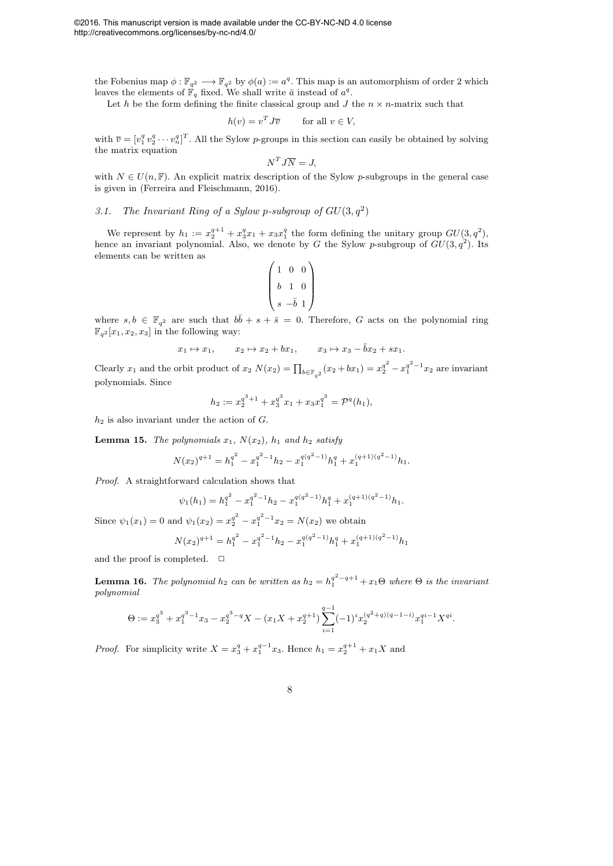the Fobenius map  $\phi: \mathbb{F}_{q^2} \longrightarrow \mathbb{F}_{q^2}$  by  $\phi(a) := a^q$ . This map is an automorphism of order 2 which leaves the elements of  $\mathbb{F}_q$  fixed. We shall write  $\bar{a}$  instead of  $a^q$ .

Let h be the form defining the finite classical group and  $J$  the  $n \times n$ -matrix such that

$$
h(v) = v^T J \overline{v} \qquad \text{for all } v \in V,
$$

with  $\overline{v} = [v_1^q v_2^q \cdots v_n^q]^T$ . All the Sylow p-groups in this section can easily be obtained by solving the matrix equation

$$
N^T J \overline{N} = J,
$$

with  $N \in U(n, \mathbb{F})$ . An explicit matrix description of the Sylow p-subgroups in the general case is given in (Ferreira and Fleischmann, 2016).

### 3.1. The Invariant Ring of a Sylow p-subgroup of  $GU(3,q^2)$

We represent by  $h_1 := x_2^{q+1} + x_3^q x_1 + x_3 x_1^q$  the form defining the unitary group  $GU(3, q^2)$ , hence an invariant polynomial. Also, we denote by G the Sylow p-subgroup of  $GU(3,q^2)$ . Its elements can be written as

$$
\begin{pmatrix} 1 & 0 & 0 \\ b & 1 & 0 \\ s & -\overline{b} & 1 \end{pmatrix}
$$

where  $s, b \in \mathbb{F}_{q^2}$  are such that  $b\overline{b} + s + \overline{s} = 0$ . Therefore, G acts on the polynomial ring  $\mathbb{F}_{q^2}[x_1, x_2, x_3]$  in the following way:

$$
x_1 \mapsto x_1, \qquad x_2 \mapsto x_2 + bx_1, \qquad x_3 \mapsto x_3 - \bar{b}x_2 + sx_1.
$$

Clearly  $x_1$  and the orbit product of  $x_2 N(x_2) = \prod_{b \in \mathbb{F}_{q^2}} (x_2 + bx_1) = x_2^{q^2} - x_1^{q^2 - 1} x_2$  are invariant polynomials. Since

$$
h_2 := x_2^{q^3+1} + x_3^{q^3} x_1 + x_3 x_1^{q^3} = \mathcal{P}^q(h_1),
$$

 $h_2$  is also invariant under the action of  $G$ .

**Lemma 15.** *The polynomials*  $x_1$ *,*  $N(x_2)$ *,*  $h_1$  *and*  $h_2$  *satisfy* 

$$
N(x_2)^{q+1} = h_1^{q^2} - x_1^{q^2-1}h_2 - x_1^{q(q^2-1)}h_1^q + x_1^{(q+1)(q^2-1)}h_1.
$$

*Proof.* A straightforward calculation shows that

$$
\psi_1(h_1) = h_1^{q^2} - x_1^{q^2 - 1}h_2 - x_1^{q(q^2 - 1)}h_1^q + x_1^{(q+1)(q^2 - 1)}h_1.
$$

Since  $\psi_1(x_1) = 0$  and  $\psi_1(x_2) = x_2^{q^2} - x_1^{q^2-1}x_2 = N(x_2)$  we obtain

$$
N(x_2)^{q+1} = h_1^{q^2} - x_1^{q^2-1}h_2 - x_1^{q(q^2-1)}h_1^q + x_1^{(q+1)(q^2-1)}h_1
$$

and the proof is completed.  $\Box$ 

**Lemma 16.** The polynomial  $h_2$  can be written as  $h_2 = h_1^{q^2-q+1} + x_1 \Theta$  where  $\Theta$  is the invariant *polynomial*

$$
\Theta := x_3^{q^3} + x_1^{q^3 - 1} x_3 - x_2^{q^3 - q} X - (x_1 X + x_2^{q+1}) \sum_{i=1}^{q-1} (-1)^i x_2^{(q^2 + q)(q - 1 - i)} x_1^{q^i - 1} X^{q^i}.
$$

*Proof.* For simplicity write  $X = x_3^q + x_1^{q-1}x_3$ . Hence  $h_1 = x_2^{q+1} + x_1X$  and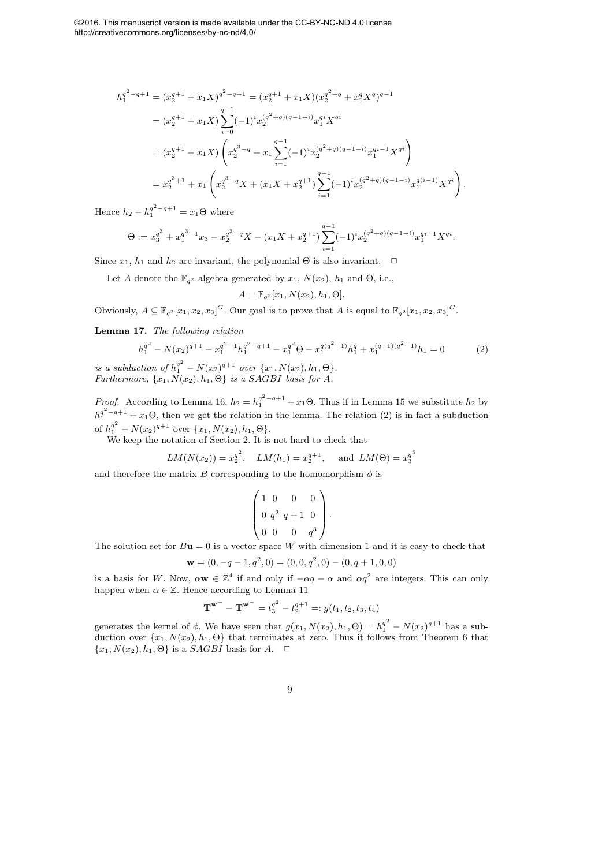©2016. This manuscript version is made available under the CC-BY-NC-ND 4.0 license http://creativecommons.org/licenses/by-nc-nd/4.0/

$$
h_1^{q^2-q+1} = (x_2^{q+1} + x_1X)^{q^2-q+1} = (x_2^{q+1} + x_1X)(x_2^{q^2+q} + x_1^qX^q)^{q-1}
$$
  
\n
$$
= (x_2^{q+1} + x_1X)\sum_{i=0}^{q-1} (-1)^i x_2^{(q^2+q)(q-1-i)} x_1^{qi} X^{qi}
$$
  
\n
$$
= (x_2^{q+1} + x_1X)\left(x_2^{q^3-q} + x_1\sum_{i=1}^{q-1} (-1)^i x_2^{(q^2+q)(q-1-i)} x_1^{qi-1} X^{qi}\right)
$$
  
\n
$$
= x_2^{q^3+1} + x_1\left(x_2^{q^3-q} X + (x_1X + x_2^{q+1})\sum_{i=1}^{q-1} (-1)^i x_2^{(q^2+q)(q-1-i)} x_1^{q(i-1)} X^{qi}\right).
$$

Hence  $h_2 - h_1^{q^2 - q + 1} = x_1 \Theta$  where

$$
\Theta := x_3^{q^3} + x_1^{q^3 - 1} x_3 - x_2^{q^3 - q} X - (x_1 X + x_2^{q+1}) \sum_{i=1}^{q-1} (-1)^i x_2^{(q^2 + q)(q - 1 - i)} x_1^{q^i - 1} X^{qi}.
$$

Since  $x_1$ ,  $h_1$  and  $h_2$  are invariant, the polynomial  $\Theta$  is also invariant.  $\Box$ 

Let A denote the  $\mathbb{F}_{q^2}$ -algebra generated by  $x_1$ ,  $N(x_2)$ ,  $h_1$  and  $\Theta$ , i.e.,

$$
A = \mathbb{F}_{q^2}[x_1, N(x_2), h_1, \Theta].
$$

Obviously,  $A \subseteq \mathbb{F}_{q^2}[x_1, x_2, x_3]^G$ . Our goal is to prove that A is equal to  $\mathbb{F}_{q^2}[x_1, x_2, x_3]^G$ .

Lemma 17. *The following relation*

$$
h_1^{q^2} - N(x_2)^{q+1} - x_1^{q^2 - 1} h_1^{q^2 - q + 1} - x_1^{q^2} \Theta - x_1^{q(q^2 - 1)} h_1^q + x_1^{(q+1)(q^2 - 1)} h_1 = 0
$$
 (2)

*is a subduction of*  $h_1^{q^2} - N(x_2)^{q+1}$  *over*  $\{x_1, N(x_2), h_1, \Theta\}.$ *Furthermore,*  $\{x_1, N(x_2), h_1, \Theta\}$  *is a SAGBI basis for A.* 

*Proof.* According to Lemma 16,  $h_2 = h_1^{q^2 - q + 1} + x_1 \Theta$ . Thus if in Lemma 15 we substitute  $h_2$  by  $h_1^{q^2-q+1}+x_1\Theta$ , then we get the relation in the lemma. The relation (2) is in fact a subduction of  $h_1^{q^2} - N(x_2)^{q+1}$  over  $\{x_1, N(x_2), h_1, \Theta\}.$ 

We keep the notation of Section 2. It is not hard to check that

$$
LM(N(x_2)) = x_2^{q^2}
$$
,  $LM(h_1) = x_2^{q+1}$ , and  $LM(\Theta) = x_3^{q^3}$ 

and therefore the matrix B corresponding to the homomorphism  $\phi$  is

$$
\left(\begin{array}{rrr}1 & 0 & 0 & 0 \\ 0 & q^2 & q+1 & 0 \\ 0 & 0 & 0 & q^3\end{array}\right).
$$

The solution set for  $B\mathbf{u} = 0$  is a vector space W with dimension 1 and it is easy to check that

$$
\mathbf{w} = (0, -q - 1, q^2, 0) = (0, 0, q^2, 0) - (0, q + 1, 0, 0)
$$

is a basis for W. Now,  $\alpha \mathbf{w} \in \mathbb{Z}^4$  if and only if  $-\alpha q - \alpha$  and  $\alpha q^2$  are integers. This can only happen when  $\alpha \in \mathbb{Z}$ . Hence according to Lemma 11

$$
\mathbf{T}^{\mathbf{w}^+} - \mathbf{T}^{\mathbf{w}^-} = t_3^{q^2} - t_2^{q+1} =: g(t_1, t_2, t_3, t_4)
$$

generates the kernel of  $\phi$ . We have seen that  $g(x_1, N(x_2), h_1, \Theta) = h_1^{q^2} - N(x_2)^{q+1}$  has a subduction over  $\{x_1, N(x_2), h_1, \Theta\}$  that terminates at zero. Thus it follows from Theorem 6 that  ${x_1, N(x_2), h_1, \Theta}$  is a *SAGBI* basis for A.  $\Box$ 

9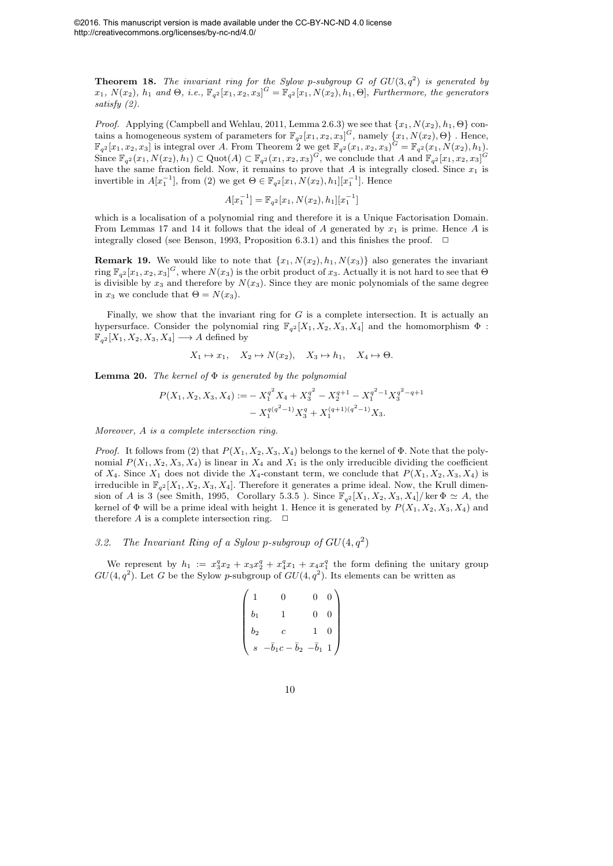**Theorem 18.** The invariant ring for the Sylow p-subgroup  $G$  of  $GU(3,q^2)$  is generated by  $x_1, N(x_2), h_1$  and  $\Theta$ , *i.e.*,  $\mathbb{F}_{q^2}[x_1, x_2, x_3]^G = \mathbb{F}_{q^2}[x_1, N(x_2), h_1, \Theta]$ , *Furthermore, the generators satisfy (2).*

*Proof.* Applying (Campbell and Wehlau, 2011, Lemma 2.6.3) we see that  $\{x_1, N(x_2), h_1, \Theta\}$  contains a homogeneous system of parameters for  $\mathbb{F}_{q^2}[x_1, x_2, x_3]^G$ , namely  $\{x_1, N(x_2), \Theta\}$ . Hence,  $\mathbb{F}_{q^2}[x_1, x_2, x_3]$  is integral over A. From Theorem 2 we get  $\mathbb{F}_{q^2}(x_1, x_2, x_3)^G = \mathbb{F}_{q^2}(x_1, N(x_2), h_1)$ . Since  $\mathbb{F}_{q^2}(x_1, N(x_2), h_1) \subset \text{Quot}(A) \subset \mathbb{F}_{q^2}(x_1, x_2, x_3)^G$ , we conclude that A and  $\mathbb{F}_{q^2}[x_1, x_2, x_3]^G$ have the same fraction field. Now, it remains to prove that A is integrally closed. Since  $x_1$  is invertible in  $A[x_1^{-1}]$ , from (2) we get  $\Theta \in \mathbb{F}_{q^2}[x_1, N(x_2), h_1][x_1^{-1}]$ . Hence

$$
A[x_1^{-1}] = \mathbb{F}_{q^2}[x_1, N(x_2), h_1][x_1^{-1}]
$$

which is a localisation of a polynomial ring and therefore it is a Unique Factorisation Domain. From Lemmas 17 and 14 it follows that the ideal of A generated by  $x_1$  is prime. Hence A is integrally closed (see Benson, 1993, Proposition 6.3.1) and this finishes the proof.  $\Box$ 

**Remark 19.** We would like to note that  $\{x_1, N(x_2), h_1, N(x_3)\}$  also generates the invariant ring  $\mathbb{F}_{q^2}[x_1, x_2, x_3]^G$ , where  $N(x_3)$  is the orbit product of  $x_3$ . Actually it is not hard to see that  $\Theta$ is divisible by  $x_3$  and therefore by  $N(x_3)$ . Since they are monic polynomials of the same degree in  $x_3$  we conclude that  $\Theta = N(x_3)$ .

Finally, we show that the invariant ring for  $G$  is a complete intersection. It is actually an hypersurface. Consider the polynomial ring  $\mathbb{F}_{q^2}[X_1, X_2, X_3, X_4]$  and the homomorphism  $\Phi$ :  $\mathbb{F}_{q^2}[X_1, X_2, X_3, X_4] \longrightarrow A$  defined by

$$
X_1 \mapsto x_1
$$
,  $X_2 \mapsto N(x_2)$ ,  $X_3 \mapsto h_1$ ,  $X_4 \mapsto \Theta$ .

Lemma 20. *The kernel of* Φ *is generated by the polynomial*

$$
P(X_1, X_2, X_3, X_4) := -X_1^{q^2} X_4 + X_3^{q^2} - X_2^{q+1} - X_1^{q^2-1} X_3^{q^2-q+1} - X_1^{q(q^2-1)} X_3^q + X_1^{(q+1)(q^2-1)} X_3.
$$

*Moreover,* A *is a complete intersection ring.*

*Proof.* It follows from (2) that  $P(X_1, X_2, X_3, X_4)$  belongs to the kernel of  $\Phi$ . Note that the polynomial  $P(X_1, X_2, X_3, X_4)$  is linear in  $X_4$  and  $X_1$  is the only irreducible dividing the coefficient of  $X_4$ . Since  $X_1$  does not divide the  $X_4$ -constant term, we conclude that  $P(X_1, X_2, X_3, X_4)$  is irreducible in  $\mathbb{F}_{q^2}[X_1, X_2, X_3, X_4]$ . Therefore it generates a prime ideal. Now, the Krull dimension of A is 3 (see Smith, 1995, Corollary 5.3.5). Since  $\mathbb{F}_{q^2}[X_1, X_2, X_3, X_4]/\ker \Phi \simeq A$ , the kernel of  $\Phi$  will be a prime ideal with height 1. Hence it is generated by  $P(X_1, X_2, X_3, X_4)$  and therefore  $A$  is a complete intersection ring.  $\Box$ 

### 3.2. The Invariant Ring of a Sylow p-subgroup of  $GU(4,q^2)$

We represent by  $h_1 := x_3^q x_2 + x_3 x_2^q + x_4^q x_1 + x_4 x_1^q$  the form defining the unitary group  $GU(4, q^2)$ . Let G be the Sylow p-subgroup of  $GU(4, q^2)$ . Its elements can be written as

$$
\begin{pmatrix} 1 & 0 & 0 & 0 \ b_1 & 1 & 0 & 0 \ b_2 & c & 1 & 0 \ s & -\bar{b}_1c - \bar{b}_2 & -\bar{b}_1 & 1 \end{pmatrix}
$$

| ۰. |
|----|
| I  |
| ۰. |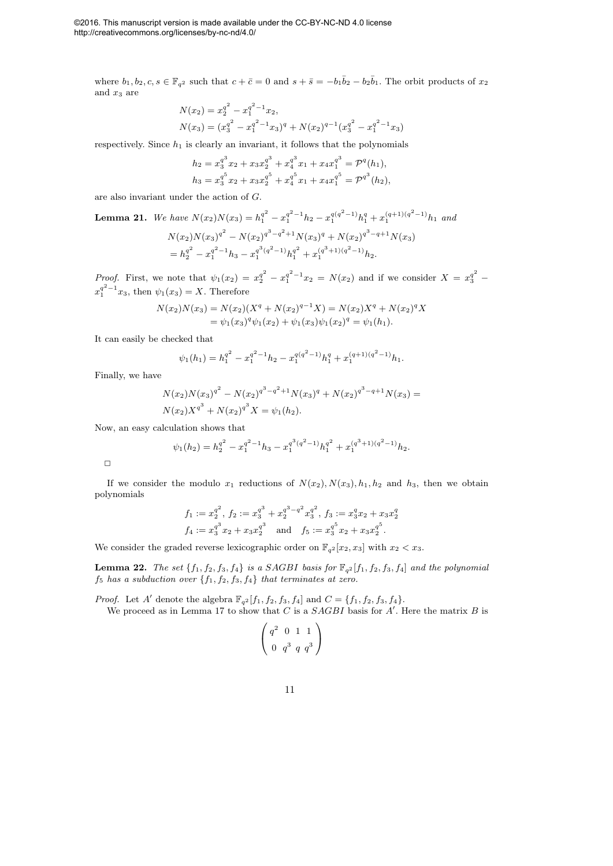where  $b_1, b_2, c, s \in \mathbb{F}_{q^2}$  such that  $c + \bar{c} = 0$  and  $s + \bar{s} = -b_1\bar{b}_2 - b_2\bar{b}_1$ . The orbit products of  $x_2$ and  $x_3$  are

$$
N(x_2) = x_2^{q^2} - x_1^{q^2 - 1} x_2,
$$
  
\n
$$
N(x_3) = (x_3^{q^2} - x_1^{q^2 - 1} x_3)^q + N(x_2)^{q-1} (x_3^{q^2} - x_1^{q^2 - 1} x_3)
$$

respectively. Since  $h_1$  is clearly an invariant, it follows that the polynomials

$$
h_2 = x_3^{q^3} x_2 + x_3 x_2^{q^3} + x_4^{q^3} x_1 + x_4 x_1^{q^3} = \mathcal{P}^q(h_1),
$$
  
\n
$$
h_3 = x_3^{q^5} x_2 + x_3 x_2^{q^5} + x_4^{q^5} x_1 + x_4 x_1^{q^5} = \mathcal{P}^{q^3}(h_2),
$$

are also invariant under the action of G.

**Lemma 21.** We have 
$$
N(x_2)N(x_3) = h_1^{q^2} - x_1^{q^2-1}h_2 - x_1^{q(q^2-1)}h_1^q + x_1^{(q+1)(q^2-1)}h_1
$$
 and  
\n
$$
N(x_2)N(x_3)^{q^2} - N(x_2)^{q^3-q^2+1}N(x_3)^q + N(x_2)^{q^3-q+1}N(x_3)
$$
\n
$$
= h_2^{q^2} - x_1^{q^2-1}h_3 - x_1^{q^3(q^2-1)}h_1^{q^2} + x_1^{(q^3+1)(q^2-1)}h_2.
$$

*Proof.* First, we note that  $\psi_1(x_2) = x_2^{q^2} - x_1^{q^2-1}x_2 = N(x_2)$  and if we consider  $X = x_3^{q^2}$  $x_1^{q^2-1}x_3$ , then  $\psi_1(x_3) = X$ . Therefore

$$
N(x_2)N(x_3) = N(x_2)(X^q + N(x_2)^{q-1}X) = N(x_2)X^q + N(x_2)^qX
$$
  
=  $\psi_1(x_3)^q \psi_1(x_2) + \psi_1(x_3)\psi_1(x_2)^q = \psi_1(h_1).$ 

It can easily be checked that

$$
\psi_1(h_1) = h_1^{q^2} - x_1^{q^2 - 1} h_2 - x_1^{q(q^2 - 1)} h_1^q + x_1^{(q+1)(q^2 - 1)} h_1.
$$

Finally, we have

$$
N(x_2)N(x_3)^{q^2} - N(x_2)^{q^3 - q^2 + 1}N(x_3)^{q} + N(x_2)^{q^3 - q + 1}N(x_3) =
$$
  

$$
N(x_2)X^{q^3} + N(x_2)^{q^3}X = \psi_1(h_2).
$$

Now, an easy calculation shows that

$$
\psi_1(h_2) = h_2^{q^2} - x_1^{q^2 - 1}h_3 - x_1^{q^3(q^2 - 1)}h_1^{q^2} + x_1^{(q^3 + 1)(q^2 - 1)}h_2.
$$

 $\Box$ 

If we consider the modulo  $x_1$  reductions of  $N(x_2)$ ,  $N(x_3)$ ,  $h_1$ ,  $h_2$  and  $h_3$ , then we obtain polynomials

$$
f_1 := x_2^{q^2}, f_2 := x_3^{q^3} + x_2^{q^3 - q^2} x_3^{q^2}, f_3 := x_3^q x_2 + x_3 x_2^q
$$
  

$$
f_4 := x_3^{q^3} x_2 + x_3 x_2^{q^3}
$$
 and 
$$
f_5 := x_3^{q^5} x_2 + x_3 x_2^{q^5}.
$$

We consider the graded reverse lexicographic order on  $\mathbb{F}_{q^2}[x_2, x_3]$  with  $x_2 < x_3$ .

**Lemma 22.** *The set*  $\{f_1, f_2, f_3, f_4\}$  *is a SAGBI basis for*  $\mathbb{F}_{q^2}[f_1, f_2, f_3, f_4]$  *and the polynomial*  $f_5$  *has a subduction over*  $\{f_1, f_2, f_3, f_4\}$  *that terminates at zero.* 

*Proof.* Let A' denote the algebra  $\mathbb{F}_{q^2}[f_1, f_2, f_3, f_4]$  and  $C = \{f_1, f_2, f_3, f_4\}.$ We proceed as in Lemma 17 to show that C is a  $SAGBI$  basis for A'. Here the matrix B is

$$
\left(\begin{array}{ccc}q^2&0&1&1\\0&q^3&q&q^3\end{array}\right)
$$

11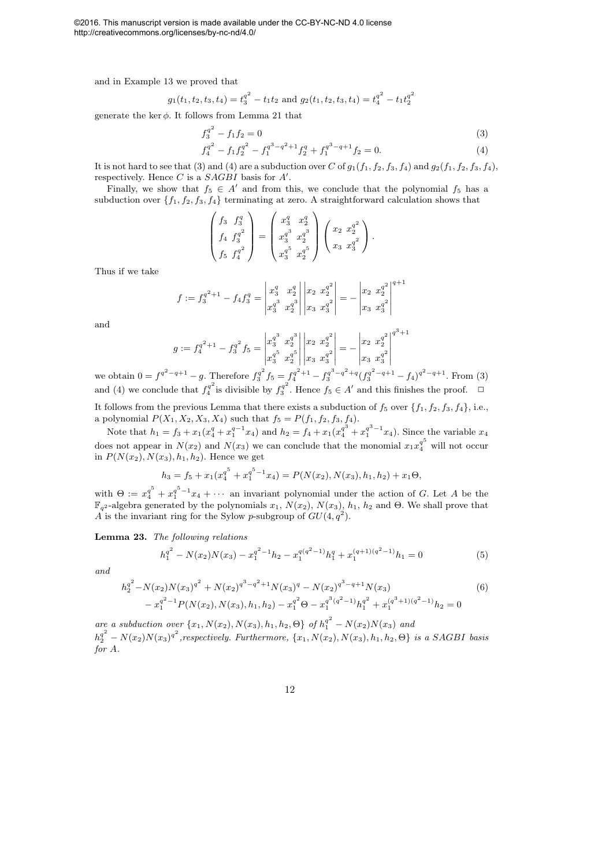©2016. This manuscript version is made available under the CC-BY-NC-ND 4.0 license http://creativecommons.org/licenses/by-nc-nd/4.0/

and in Example 13 we proved that

$$
g_1(t_1, t_2, t_3, t_4) = t_3^{q^2} - t_1 t_2
$$
 and  $g_2(t_1, t_2, t_3, t_4) = t_4^{q^2} - t_1 t_2^{q^2}$ 

generate the ker  $\phi$ . It follows from Lemma 21 that

$$
f_3^{q^2} - f_1 f_2 = 0
$$
  
\n
$$
f_4^{q^2} - f_1 f_2^{q^2} - f_1^{q^3 - q^2 + 1} f_2^q + f_1^{q^3 - q + 1} f_2 = 0.
$$
\n(3)

$$
f_4^q - f_1 f_2^q - f_1^{q^2 - q + 1} f_2^q + f_1^{q^2 - q + 1} f_2 = 0.
$$
 (4)  
to see that (3) and (4) are a subduction over C of  $g_1(f_1, f_2, f_2, f_3)$  and  $g_2(f_1, f_2, f_2, f_4)$ 

It is not hard to see that (3) and (4) are a subduction over C of  $g_1(f_1, f_2, f_3, f_4)$  and  $g_2(f_1, f_2, f_3, f_4)$ , respectively. Hence C is a  $SAGBI$  basis for  $A'$ .

Finally, we show that  $f_5 \in A'$  and from this, we conclude that the polynomial  $f_5$  has a subduction over  $\{f_1, f_2, f_3, f_4\}$  terminating at zero. A straightforward calculation shows that

$$
\begin{pmatrix} f_3 & f_3^q \ f_4 & f_3^{q^2} \ f_5 & f_4^{q^2} \end{pmatrix} = \begin{pmatrix} x_3^q & x_2^q \ x_3^q & x_2^q \ x_3^q & x_2^q \end{pmatrix} \begin{pmatrix} x_2 & x_2^{q^2} \ x_3 & x_3^q \end{pmatrix}.
$$

Thus if we take

$$
f := f_3^{q^2+1} - f_4 f_3^q = \begin{vmatrix} x_3^q & x_2^q \\ x_3^q & x_2^q \end{vmatrix} \begin{vmatrix} x_2 & x_2^{q^2} \\ x_3 & x_3^{q^2} \end{vmatrix} = - \begin{vmatrix} x_2 & x_2^{q^2} \\ x_3 & x_3^{q^2} \end{vmatrix}^{q+1}
$$

and

$$
g := f_4^{q^2+1} - f_3^{q^2} f_5 = \begin{vmatrix} x_3^{q^3} & x_2^{q^3} \\ x_3^{q^5} & x_2^{q^5} \end{vmatrix} \begin{vmatrix} x_2 & x_2^{q^2} \\ x_3 & x_3^{q^2} \end{vmatrix} = - \begin{vmatrix} x_2 & x_2^{q^2} \\ x_3 & x_3^{q^2} \end{vmatrix}^{q^3+1}
$$

we obtain  $0 = f^{q^2-q+1} - g$ . Therefore  $f_3^{q^2}$  $f_3^{q^2} f_5 = f_4^{q^2+1} - f_3^{q^3-q^2+q} (f_3^{q^2-q+1} - f_4)^{q^2-q+1}$ . From (3) and (4) we conclude that  $f_4^{q^2}$  $f_4^{q^2}$  is divisible by  $f_3^{q^2}$  $3^{q^2}$ . Hence  $f_5 \in A'$  and this finishes the proof.  $\Box$ 

It follows from the previous Lemma that there exists a subduction of  $f_5$  over  $\{f_1, f_2, f_3, f_4\}$ , i.e., a polynomial  $P(X_1, X_2, X_3, X_4)$  such that  $f_5 = P(f_1, f_2, f_3, f_4)$ .

Note that  $h_1 = f_3 + x_1(x_4^q + x_1^{q-1}x_4)$  and  $h_2 = f_4 + x_1(x_4^{q^3} + x_1^{q^3-1}x_4)$ . Since the variable  $x_4$ does not appear in  $N(x_2)$  and  $N(x_3)$  we can conclude that the monomial  $x_1x_4^{q^5}$  will not occur in  $P(N(x_2), N(x_3), h_1, h_2)$ . Hence we get

$$
h_3 = f_5 + x_1(x_4^{q^5} + x_1^{q^5-1}x_4) = P(N(x_2), N(x_3), h_1, h_2) + x_1 \Theta,
$$

with  $\Theta := x_4^{q^5} + x_1^{q^{5}-1}x_4 + \cdots$  an invariant polynomial under the action of G. Let A be the  $\mathbb{F}_{q^2}$ -algebra generated by the polynomials  $x_1$ ,  $N(x_2)$ ,  $N(x_3)$ ,  $h_1$ ,  $h_2$  and  $\Theta$ . We shall prove that A is the invariant ring for the Sylow p-subgroup of  $GU(4, q^2)$ .

Lemma 23. *The following relations*

$$
h_1^{q^2} - N(x_2)N(x_3) - x_1^{q^2 - 1}h_2 - x_1^{q(q^2 - 1)}h_1^q + x_1^{(q+1)(q^2 - 1)}h_1 = 0
$$
\n<sup>(5)</sup>

*and*

$$
h_2^{q^2} - N(x_2)N(x_3)^{q^2} + N(x_2)^{q^3 - q^2 + 1}N(x_3)^q - N(x_2)^{q^3 - q + 1}N(x_3)
$$
\n
$$
- x_1^{q^2 - 1}P(N(x_2), N(x_3), h_1, h_2) - x_1^{q^2} \Theta - x_1^{q^3(q^2 - 1)}h_1^{q^2} + x_1^{(q^3 + 1)(q^2 - 1)}h_2 = 0
$$
\n
$$
(6)
$$

*are a subduction over*  $\{x_1, N(x_2), N(x_3), h_1, h_2, \Theta\}$  *of*  $h_1^{q^2} - N(x_2)N(x_3)$  *and*  $h_2^{q^2} - N(x_2)N(x_3)^{q^2}$ , respectively. Furthermore,  $\{x_1, N(x_2), N(x_3), h_1, h_2, \Theta\}$  is a SAGBI basis *for* A*.*

$$
^{12}
$$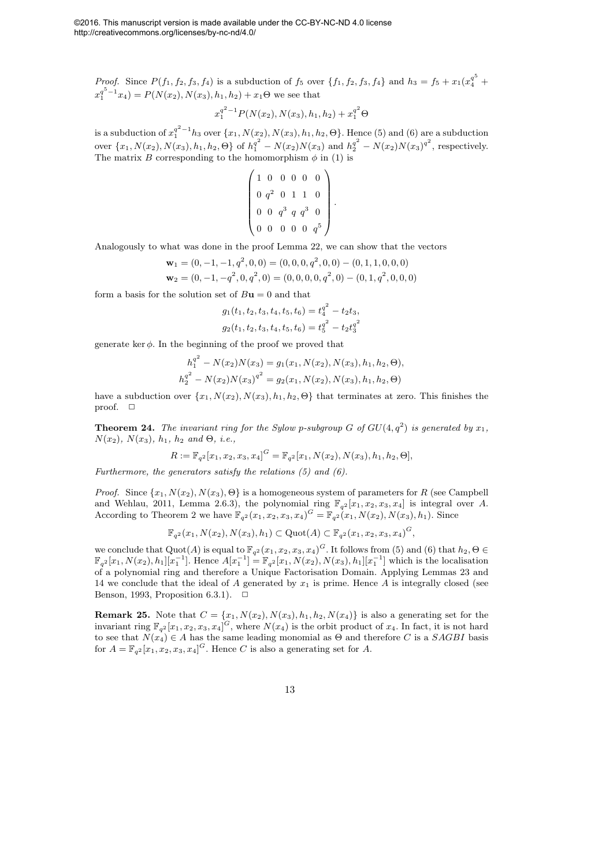*Proof.* Since  $P(f_1, f_2, f_3, f_4)$  is a subduction of  $f_5$  over  $\{f_1, f_2, f_3, f_4\}$  and  $h_3 = f_5 + x_1(x_4^{q^5} +$  $x_1^{q^5-1}x_4$  =  $P(N(x_2), N(x_3), h_1, h_2) + x_1\Theta$  we see that

$$
x_1^{q^2-1}P(N(x_2), N(x_3), h_1, h_2) + x_1^{q^2} \Theta
$$

is a subduction of  $x_1^{q^2-1}h_3$  over  $\{x_1, N(x_2), N(x_3), h_1, h_2, \Theta\}$ . Hence (5) and (6) are a subduction over  $\{x_1, N(x_2), N(x_3), h_1, h_2, \Theta\}$  of  $h_1^{q^2} - N(x_2)N(x_3)$  and  $h_2^{q^2} - N(x_2)N(x_3)^{q^2}$ , respectively. The matrix B corresponding to the homomorphism  $\phi$  in (1) is

$$
\left(\n\begin{array}{cccccc}\n1 & 0 & 0 & 0 & 0 & 0 \\
0 & q^2 & 0 & 1 & 1 & 0 \\
0 & 0 & q^3 & q & q^3 & 0 \\
0 & 0 & 0 & 0 & 0 & q^5\n\end{array}\n\right).
$$

Analogously to what was done in the proof Lemma 22, we can show that the vectors

$$
\mathbf{w}_1 = (0, -1, -1, q^2, 0, 0) = (0, 0, 0, q^2, 0, 0) - (0, 1, 1, 0, 0, 0)
$$
  

$$
\mathbf{w}_2 = (0, -1, -q^2, 0, q^2, 0) = (0, 0, 0, 0, q^2, 0) - (0, 1, q^2, 0, 0, 0)
$$

form a basis for the solution set of  $B\mathbf{u} = 0$  and that

$$
g_1(t_1, t_2, t_3, t_4, t_5, t_6) = t_4^{q^2} - t_2 t_3,
$$
  

$$
g_2(t_1, t_2, t_3, t_4, t_5, t_6) = t_5^{q^2} - t_2 t_3^{q^2}
$$

generate ker  $\phi$ . In the beginning of the proof we proved that

$$
h_1^{q^2} - N(x_2)N(x_3) = g_1(x_1, N(x_2), N(x_3), h_1, h_2, \Theta),
$$
  

$$
h_2^{q^2} - N(x_2)N(x_3)^{q^2} = g_2(x_1, N(x_2), N(x_3), h_1, h_2, \Theta)
$$

have a subduction over  $\{x_1, N(x_2), N(x_3), h_1, h_2, \Theta\}$  that terminates at zero. This finishes the proof.  $\square$ 

**Theorem 24.** The invariant ring for the Sylow p-subgroup G of  $GU(4, q^2)$  is generated by  $x_1$ , N(x2)*,* N(x3)*,* h1*,* h<sup>2</sup> *and* Θ*, i.e.,*

$$
R := \mathbb{F}_{q^2}[x_1, x_2, x_3, x_4]^G = \mathbb{F}_{q^2}[x_1, N(x_2), N(x_3), h_1, h_2, \Theta],
$$

*Furthermore, the generators satisfy the relations (5) and (6).*

*Proof.* Since  $\{x_1, N(x_2), N(x_3), \Theta\}$  is a homogeneous system of parameters for R (see Campbell and Wehlau, 2011, Lemma 2.6.3), the polynomial ring  $\mathbb{F}_{q^2}[x_1, x_2, x_3, x_4]$  is integral over A. According to Theorem 2 we have  $\mathbb{F}_{q^2}(x_1, x_2, x_3, x_4)^G = \mathbb{F}_{q^2}(x_1, N(x_2), N(x_3), h_1)$ . Since

$$
\mathbb{F}_{q^2}(x_1, N(x_2), N(x_3), h_1) \subset \mathrm{Quot}(A) \subset \mathbb{F}_{q^2}(x_1, x_2, x_3, x_4)^G,
$$

we conclude that  $Quot(A)$  is equal to  $\mathbb{F}_{q^2}(x_1, x_2, x_3, x_4)^G$ . It follows from (5) and (6) that  $h_2, \Theta \in$  $\mathbb{F}_{q^2}[x_1, N(x_2), h_1][x_1^{-1}]$ . Hence  $A[x_1^{-1}] = \mathbb{F}_{q^2}[x_1, N(x_2), N(x_3), h_1][x_1^{-1}]$  which is the localisation of a polynomial ring and therefore a Unique Factorisation Domain. Applying Lemmas 23 and 14 we conclude that the ideal of  $A$  generated by  $x_1$  is prime. Hence  $A$  is integrally closed (see Benson, 1993, Proposition 6.3.1).  $\Box$ 

**Remark 25.** Note that  $C = \{x_1, N(x_2), N(x_3), h_1, h_2, N(x_4)\}$  is also a generating set for the invariant ring  $\mathbb{F}_{q^2}[x_1, x_2, x_3, x_4]^G$ , where  $N(x_4)$  is the orbit product of  $x_4$ . In fact, it is not hard to see that  $N(x_4) \in A$  has the same leading monomial as  $\Theta$  and therefore C is a SAGBI basis for  $A = \mathbb{F}_{q^2}[x_1, x_2, x_3, x_4]^G$ . Hence C is also a generating set for A.

13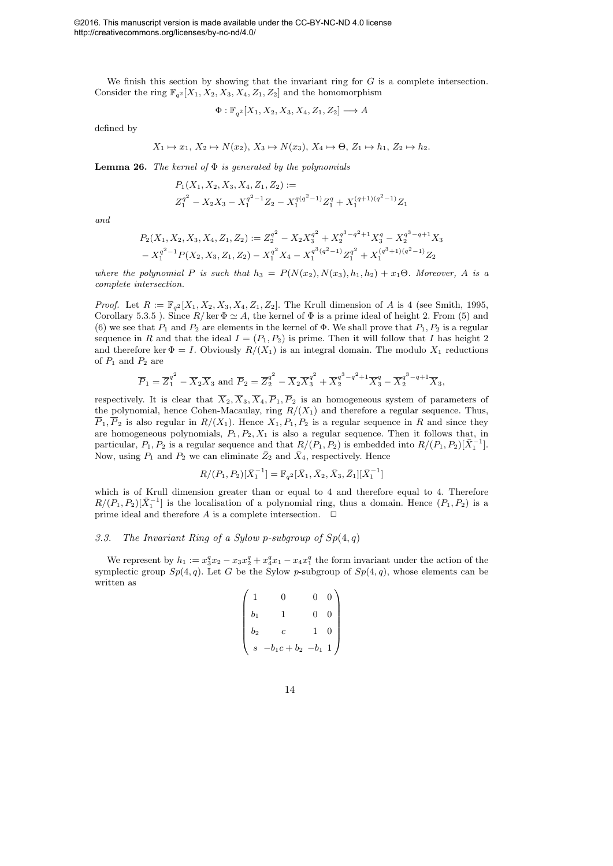©2016. This manuscript version is made available under the CC-BY-NC-ND 4.0 license http://creativecommons.org/licenses/by-nc-nd/4.0/

We finish this section by showing that the invariant ring for  $G$  is a complete intersection. Consider the ring  $\mathbb{F}_{q^2}[X_1, X_2, X_3, X_4, Z_1, Z_2]$  and the homomorphism

$$
\Phi: \mathbb{F}_{q^2}[X_1, X_2, X_3, X_4, Z_1, Z_2] \longrightarrow A
$$

defined by

$$
X_1 \mapsto x_1, X_2 \mapsto N(x_2), X_3 \mapsto N(x_3), X_4 \mapsto \Theta, Z_1 \mapsto h_1, Z_2 \mapsto h_2.
$$

Lemma 26. *The kernel of* Φ *is generated by the polynomials*

$$
P_1(X_1, X_2, X_3, X_4, Z_1, Z_2) :=
$$
  

$$
Z_1^{q^2} - X_2X_3 - X_1^{q^2 - 1}Z_2 - X_1^{q(q^2 - 1)}Z_1^q + X_1^{(q+1)(q^2 - 1)}Z_1
$$

*and*

$$
P_2(X_1, X_2, X_3, X_4, Z_1, Z_2) := Z_2^{q^2} - X_2 X_3^{q^2} + X_2^{q^3 - q^2 + 1} X_3^{q} - X_2^{q^3 - q + 1} X_3
$$
  

$$
- X_1^{q^{2}-1} P(X_2, X_3, Z_1, Z_2) - X_1^{q^2} X_4 - X_1^{q^3(q^2-1)} Z_1^{q^2} + X_1^{(q^3+1)(q^2-1)} Z_2
$$

*where the polynomial* P *is such that*  $h_3 = P(N(x_2), N(x_3), h_1, h_2) + x_1 \Theta$ . Moreover, A is a *complete intersection.*

*Proof.* Let  $R := \mathbb{F}_{q^2}[X_1, X_2, X_3, X_4, Z_1, Z_2]$ . The Krull dimension of A is 4 (see Smith, 1995, Corollary 5.3.5 ). Since  $R/\text{ker }\Phi \simeq A$ , the kernel of  $\Phi$  is a prime ideal of height 2. From (5) and (6) we see that  $P_1$  and  $P_2$  are elements in the kernel of  $\Phi$ . We shall prove that  $P_1, P_2$  is a regular sequence in R and that the ideal  $I = (P_1, P_2)$  is prime. Then it will follow that I has height 2 and therefore ker  $\Phi = I$ . Obviously  $R/(X_1)$  is an integral domain. The modulo  $X_1$  reductions of  $P_1$  and  $P_2$  are

$$
\overline{P}_1 = \overline{Z_1}^{q^2} - \overline{X}_2 \overline{X}_3
$$
 and  $\overline{P}_2 = \overline{Z_2}^{q^2} - \overline{X}_2 \overline{X_3}^{q^2} + \overline{X_2}^{q^3 - q^2 + 1} \overline{X_3}^{q} - \overline{X_2}^{q^3 - q + 1} \overline{X_3}$ ,

respectively. It is clear that  $\overline{X}_2, \overline{X}_3, \overline{X}_4, \overline{P}_1, \overline{P}_2$  is an homogeneous system of parameters of the polynomial, hence Cohen-Macaulay, ring  $R/(X_1)$  and therefore a regular sequence. Thus,  $\overline{P}_1$ ,  $\overline{P}_2$  is also regular in  $R/(X_1)$ . Hence  $X_1, P_1, P_2$  is a regular sequence in R and since they are homogeneous polynomials,  $P_1, P_2, X_1$  is also a regular sequence. Then it follows that, in particular,  $P_1, P_2$  is a regular sequence and that  $R/(P_1, P_2)$  is embedded into  $R/(P_1, P_2)[\bar{X}_1^{-1}]$ . Now, using  $P_1$  and  $P_2$  we can eliminate  $\bar{Z}_2$  and  $\bar{X}_4$ , respectively. Hence

$$
R/(P_1, P_2)[\bar{X}_1^{-1}] = \mathbb{F}_{q^2}[\bar{X}_1, \bar{X}_2, \bar{X}_3, \bar{Z}_1][\bar{X}_1^{-1}]
$$

which is of Krull dimension greater than or equal to 4 and therefore equal to 4. Therefore  $R/(P_1, P_2)[\bar{X}_1^{-1}]$  is the localisation of a polynomial ring, thus a domain. Hence  $(P_1, P_2)$  is a prime ideal and therefore  $A$  is a complete intersection.  $\Box$ 

#### 3.3. The Invariant Ring of a Sylow p-subgroup of  $Sp(4,q)$

We represent by  $h_1 := x_3^q x_2 - x_3 x_2^q + x_4^q x_1 - x_4 x_1^q$  the form invariant under the action of the symplectic group  $Sp(4,q)$ . Let G be the Sylow p-subgroup of  $Sp(4,q)$ , whose elements can be written as

$$
\begin{pmatrix}\n1 & 0 & 0 & 0 \\
b_1 & 1 & 0 & 0 \\
b_2 & c & 1 & 0 \\
s & -b_1c + b_2 & -b_1 & 1\n\end{pmatrix}
$$

14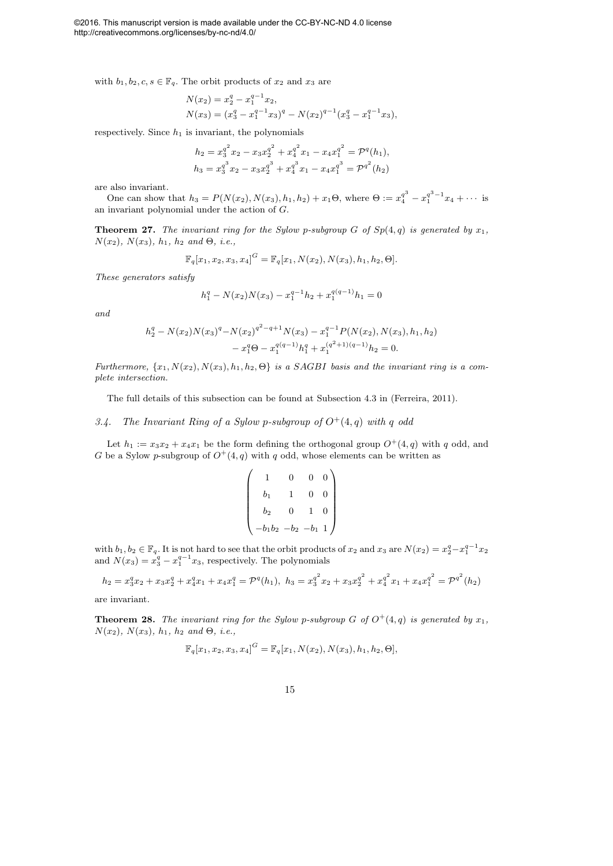with  $b_1, b_2, c, s \in \mathbb{F}_q$ . The orbit products of  $x_2$  and  $x_3$  are

$$
N(x_2) = x_2^q - x_1^{q-1} x_2,
$$
  
\n
$$
N(x_3) = (x_3^q - x_1^{q-1} x_3)^q - N(x_2)^{q-1} (x_3^q - x_1^{q-1} x_3),
$$

respectively. Since  $h_1$  is invariant, the polynomials

$$
h_2 = x_3^{q^2} x_2 - x_3 x_2^{q^2} + x_4^{q^2} x_1 - x_4 x_1^{q^2} = \mathcal{P}^q(h_1),
$$
  
\n
$$
h_3 = x_3^{q^3} x_2 - x_3 x_2^{q^3} + x_4^{q^3} x_1 - x_4 x_1^{q^3} = \mathcal{P}^{q^2}(h_2)
$$

are also invariant.

One can show that  $h_3 = P(N(x_2), N(x_3), h_1, h_2) + x_1 \Theta$ , where  $\Theta := x_4^{q^3} - x_1^{q^3 - 1} x_4 + \cdots$  is an invariant polynomial under the action of G.

**Theorem 27.** *The invariant ring for the Sylow p-subgroup*  $G$  *of*  $Sp(4,q)$  *is generated by*  $x_1$ *,*  $N(x_2)$ *,*  $N(x_3)$ *,*  $h_1$ *,*  $h_2$  *and*  $\Theta$ *, i.e.,* 

$$
\mathbb{F}_q[x_1, x_2, x_3, x_4]^G = \mathbb{F}_q[x_1, N(x_2), N(x_3), h_1, h_2, \Theta].
$$

*These generators satisfy*

$$
h_1^q - N(x_2)N(x_3) - x_1^{q-1}h_2 + x_1^{q(q-1)}h_1 = 0
$$

*and*

$$
h_2^q - N(x_2)N(x_3)^q - N(x_2)^{q^2 - q + 1}N(x_3) - x_1^{q-1}P(N(x_2), N(x_3), h_1, h_2)
$$
  

$$
- x_1^q \Theta - x_1^{q(q-1)}h_1^q + x_1^{(q^2+1)(q-1)}h_2 = 0.
$$

*Furthermore,*  $\{x_1, N(x_2), N(x_3), h_1, h_2, \Theta\}$  *is a SAGBI basis and the invariant ring is a complete intersection.*

The full details of this subsection can be found at Subsection 4.3 in (Ferreira, 2011).

## 3.4. The Invariant Ring of a Sylow p-subgroup of  $O^+(4,q)$  with q odd

Let  $h_1 := x_3x_2 + x_4x_1$  be the form defining the orthogonal group  $O^+(4, q)$  with q odd, and G be a Sylow p-subgroup of  $O^+(4,q)$  with q odd, whose elements can be written as

$$
\begin{pmatrix}\n1 & 0 & 0 & 0 \\
b_1 & 1 & 0 & 0 \\
b_2 & 0 & 1 & 0 \\
-b_1b_2 & -b_2 & -b_1 & 1\n\end{pmatrix}
$$

with  $b_1, b_2 \in \mathbb{F}_q$ . It is not hard to see that the orbit products of  $x_2$  and  $x_3$  are  $N(x_2) = x_2^q - x_1^{q-1} x_2$ and  $N(x_3) = x_3^q - x_1^{q-1}x_3$ , respectively. The polynomials

$$
h_2 = x_3^q x_2 + x_3 x_2^q + x_4^q x_1 + x_4 x_1^q = \mathcal{P}^q(h_1), \ h_3 = x_3^{q^2} x_2 + x_3 x_2^{q^2} + x_4^{q^2} x_1 + x_4 x_1^{q^2} = \mathcal{P}^{q^2}(h_2)
$$

are invariant.

**Theorem 28.** The invariant ring for the Sylow p-subgroup G of  $O^+(4,q)$  is generated by  $x_1$ ,  $N(x_2)$ *,*  $N(x_3)$ *,*  $h_1$ *,*  $h_2$  *and*  $\Theta$ *, i.e.,* 

$$
\mathbb{F}_q[x_1, x_2, x_3, x_4]^G = \mathbb{F}_q[x_1, N(x_2), N(x_3), h_1, h_2, \Theta],
$$

15